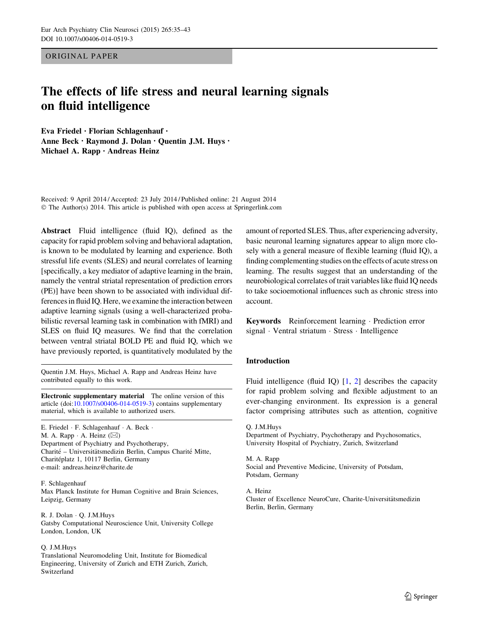ORIGINAL PAPER

# The effects of life stress and neural learning signals on fluid intelligence

Eva Friedel • Florian Schlagenhauf • Anne Beck • Raymond J. Dolan • Quentin J.M. Huys • Michael A. Rapp • Andreas Heinz

Received: 9 April 2014 / Accepted: 23 July 2014 / Published online: 21 August 2014 © The Author(s) 2014. This article is published with open access at Springerlink.com

Abstract Fluid intelligence (fluid IQ), defined as the capacity for rapid problem solving and behavioral adaptation, is known to be modulated by learning and experience. Both stressful life events (SLES) and neural correlates of learning [specifically, a key mediator of adaptive learning in the brain, namely the ventral striatal representation of prediction errors (PE)] have been shown to be associated with individual differences in fluid IQ. Here, we examine the interaction between adaptive learning signals (using a well-characterized probabilistic reversal learning task in combination with fMRI) and SLES on fluid IQ measures. We find that the correlation between ventral striatal BOLD PE and fluid IQ, which we have previously reported, is quantitatively modulated by the

Quentin J.M. Huys, Michael A. Rapp and Andreas Heinz have contributed equally to this work.

Electronic supplementary material The online version of this article (doi:[10.1007/s00406-014-0519-3\)](http://dx.doi.org/10.1007/s00406-014-0519-3) contains supplementary material, which is available to authorized users.

E. Friedel · F. Schlagenhauf · A. Beck · M. A. Rapp  $\cdot$  A. Heinz ( $\boxtimes$ ) Department of Psychiatry and Psychotherapy, Charité – Universitätsmedizin Berlin, Campus Charité Mitte, Charitéplatz 1, 10117 Berlin, Germany e-mail: andreas.heinz@charite.de

F. Schlagenhauf Max Planck Institute for Human Cognitive and Brain Sciences, Leipzig, Germany

R. J. Dolan - Q. J.M.Huys Gatsby Computational Neuroscience Unit, University College London, London, UK

# Q. J.M.Huys

Translational Neuromodeling Unit, Institute for Biomedical Engineering, University of Zurich and ETH Zurich, Zurich, Switzerland

amount of reported SLES. Thus, after experiencing adversity, basic neuronal learning signatures appear to align more closely with a general measure of flexible learning (fluid IQ), a finding complementing studies on the effects of acute stress on learning. The results suggest that an understanding of the neurobiological correlates of trait variables like fluid IQ needs to take socioemotional influences such as chronic stress into account.

Keywords Reinforcement learning - Prediction error signal - Ventral striatum - Stress - Intelligence

## Introduction

Fluid intelligence (fluid IQ) [\[1](#page-6-0), [2\]](#page-6-0) describes the capacity for rapid problem solving and flexible adjustment to an ever-changing environment. Its expression is a general factor comprising attributes such as attention, cognitive

#### Q. J.M.Huys

Department of Psychiatry, Psychotherapy and Psychosomatics, University Hospital of Psychiatry, Zurich, Switzerland

M. A. Rapp Social and Preventive Medicine, University of Potsdam, Potsdam, Germany

A. Heinz

Cluster of Excellence NeuroCure, Charite-Universitätsmedizin Berlin, Berlin, Germany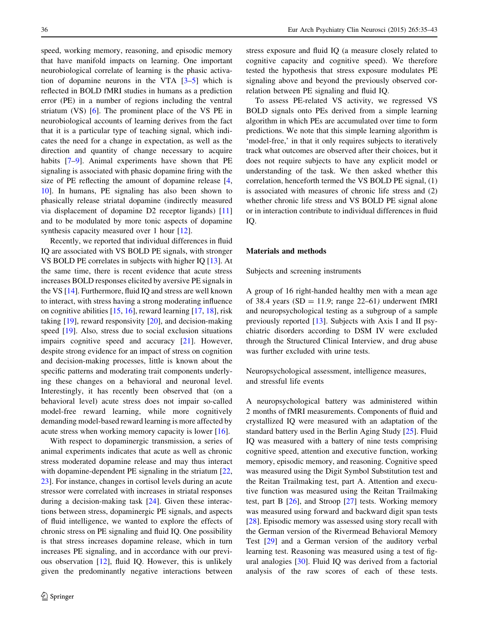speed, working memory, reasoning, and episodic memory that have manifold impacts on learning. One important neurobiological correlate of learning is the phasic activation of dopamine neurons in the VTA  $[3-5]$  which is reflected in BOLD fMRI studies in humans as a prediction error (PE) in a number of regions including the ventral striatum (VS) [[6\]](#page-6-0). The prominent place of the VS PE in neurobiological accounts of learning derives from the fact that it is a particular type of teaching signal, which indicates the need for a change in expectation, as well as the direction and quantity of change necessary to acquire habits [[7–9\]](#page-6-0). Animal experiments have shown that PE signaling is associated with phasic dopamine firing with the size of PE reflecting the amount of dopamine release [[4,](#page-6-0) [10](#page-6-0)]. In humans, PE signaling has also been shown to phasically release striatal dopamine (indirectly measured via displacement of dopamine D2 receptor ligands) [[11\]](#page-6-0) and to be modulated by more tonic aspects of dopamine synthesis capacity measured over 1 hour [[12\]](#page-6-0).

Recently, we reported that individual differences in fluid IQ are associated with VS BOLD PE signals, with stronger VS BOLD PE correlates in subjects with higher IQ [[13\]](#page-7-0). At the same time, there is recent evidence that acute stress increases BOLD responses elicited by aversive PE signals in the VS [\[14](#page-7-0)]. Furthermore, fluid IQ and stress are well known to interact, with stress having a strong moderating influence on cognitive abilities [\[15](#page-7-0), [16\]](#page-7-0), reward learning [\[17](#page-7-0), [18](#page-7-0)], risk taking [\[19](#page-7-0)], reward responsivity [\[20](#page-7-0)], and decision-making speed [[19\]](#page-7-0). Also, stress due to social exclusion situations impairs cognitive speed and accuracy [[21\]](#page-7-0). However, despite strong evidence for an impact of stress on cognition and decision-making processes, little is known about the specific patterns and moderating trait components underlying these changes on a behavioral and neuronal level. Interestingly, it has recently been observed that (on a behavioral level) acute stress does not impair so-called model-free reward learning, while more cognitively demanding model-based reward learning is more affected by acute stress when working memory capacity is lower [\[16](#page-7-0)].

With respect to dopaminergic transmission, a series of animal experiments indicates that acute as well as chronic stress moderated dopamine release and may thus interact with dopamine-dependent PE signaling in the striatum [[22,](#page-7-0) [23\]](#page-7-0). For instance, changes in cortisol levels during an acute stressor were correlated with increases in striatal responses during a decision-making task [[24\]](#page-7-0). Given these interactions between stress, dopaminergic PE signals, and aspects of fluid intelligence, we wanted to explore the effects of chronic stress on PE signaling and fluid IQ. One possibility is that stress increases dopamine release, which in turn increases PE signaling, and in accordance with our previous observation [\[12](#page-6-0)], fluid IQ. However, this is unlikely given the predominantly negative interactions between stress exposure and fluid IQ (a measure closely related to cognitive capacity and cognitive speed). We therefore tested the hypothesis that stress exposure modulates PE signaling above and beyond the previously observed correlation between PE signaling and fluid IQ.

To assess PE-related VS activity, we regressed VS BOLD signals onto PEs derived from a simple learning algorithm in which PEs are accumulated over time to form predictions. We note that this simple learning algorithm is 'model-free,' in that it only requires subjects to iteratively track what outcomes are observed after their choices, but it does not require subjects to have any explicit model or understanding of the task. We then asked whether this correlation, henceforth termed the VS BOLD PE signal, (1) is associated with measures of chronic life stress and (2) whether chronic life stress and VS BOLD PE signal alone or in interaction contribute to individual differences in fluid IQ.

#### Materials and methods

Subjects and screening instruments

A group of 16 right-handed healthy men with a mean age of 38.4 years (SD = 11.9; range  $22-61$ ) underwent fMRI and neuropsychological testing as a subgroup of a sample previously reported [\[13](#page-7-0)]. Subjects with Axis I and II psychiatric disorders according to DSM IV were excluded through the Structured Clinical Interview, and drug abuse was further excluded with urine tests.

Neuropsychological assessment, intelligence measures, and stressful life events

A neuropsychological battery was administered within 2 months of fMRI measurements. Components of fluid and crystallized IQ were measured with an adaptation of the standard battery used in the Berlin Aging Study [[25\]](#page-7-0). Fluid IQ was measured with a battery of nine tests comprising cognitive speed, attention and executive function, working memory, episodic memory, and reasoning. Cognitive speed was measured using the Digit Symbol Substitution test and the Reitan Trailmaking test, part A. Attention and executive function was measured using the Reitan Trailmaking test, part B [\[26](#page-7-0)], and Stroop [[27\]](#page-7-0) tests. Working memory was measured using forward and backward digit span tests [\[28](#page-7-0)]. Episodic memory was assessed using story recall with the German version of the Rivermead Behavioral Memory Test [[29\]](#page-7-0) and a German version of the auditory verbal learning test. Reasoning was measured using a test of figural analogies [[30\]](#page-7-0). Fluid IQ was derived from a factorial analysis of the raw scores of each of these tests.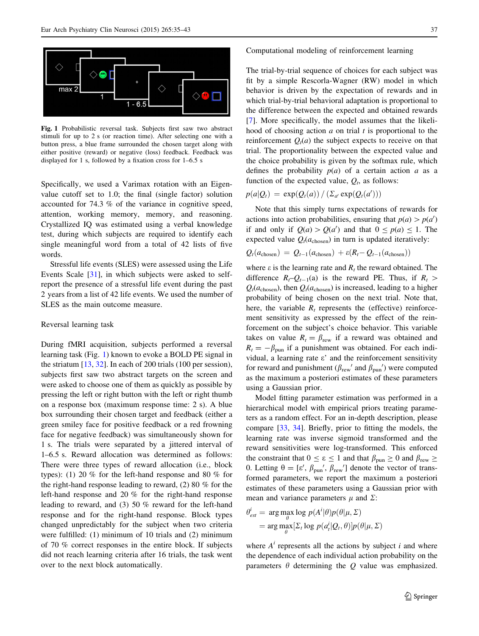

Fig. 1 Probabilistic reversal task. Subjects first saw two abstract stimuli for up to 2 s (or reaction time). After selecting one with a button press, a blue frame surrounded the chosen target along with either positive (reward) or negative (loss) feedback. Feedback was displayed for 1 s, followed by a fixation cross for 1–6.5 s

Specifically, we used a Varimax rotation with an Eigenvalue cutoff set to 1.0; the final (single factor) solution accounted for 74.3 % of the variance in cognitive speed, attention, working memory, memory, and reasoning. Crystallized IQ was estimated using a verbal knowledge test, during which subjects are required to identify each single meaningful word from a total of 42 lists of five words.

Stressful life events (SLES) were assessed using the Life Events Scale [[31\]](#page-7-0), in which subjects were asked to selfreport the presence of a stressful life event during the past 2 years from a list of 42 life events. We used the number of SLES as the main outcome measure.

# Reversal learning task

During fMRI acquisition, subjects performed a reversal learning task (Fig. 1) known to evoke a BOLD PE signal in the striatum [\[13](#page-7-0), [32\]](#page-7-0). In each of 200 trials (100 per session), subjects first saw two abstract targets on the screen and were asked to choose one of them as quickly as possible by pressing the left or right button with the left or right thumb on a response box (maximum response time: 2 s). A blue box surrounding their chosen target and feedback (either a green smiley face for positive feedback or a red frowning face for negative feedback) was simultaneously shown for 1 s. The trials were separated by a jittered interval of 1–6.5 s. Reward allocation was determined as follows: There were three types of reward allocation (i.e., block types): (1) 20 % for the left-hand response and 80 % for the right-hand response leading to reward, (2) 80 % for the left-hand response and 20 % for the right-hand response leading to reward, and (3) 50 % reward for the left-hand response and for the right-hand response. Block types changed unpredictably for the subject when two criteria were fulfilled: (1) minimum of 10 trials and (2) minimum of 70 % correct responses in the entire block. If subjects did not reach learning criteria after 16 trials, the task went over to the next block automatically.

## Computational modeling of reinforcement learning

The trial-by-trial sequence of choices for each subject was fit by a simple Rescorla-Wagner (RW) model in which behavior is driven by the expectation of rewards and in which trial-by-trial behavioral adaptation is proportional to the difference between the expected and obtained rewards [\[7](#page-6-0)]. More specifically, the model assumes that the likelihood of choosing action  $a$  on trial  $t$  is proportional to the reinforcement  $Q_t(a)$  the subject expects to receive on that trial. The proportionality between the expected value and the choice probability is given by the softmax rule, which defines the probability  $p(a)$  of a certain action a as a function of the expected value,  $Q_t$ , as follows:

 $p(a|Q_t) = \exp(Q_t(a)) / (\Sigma_{a'} \exp(Q_t(a')))$ 

Note that this simply turns expectations of rewards for actions into action probabilities, ensuring that  $p(a) > p(a')$ if and only if  $Q(a) > Q(a')$  and that  $0 \le p(a) \le 1$ . The expected value  $Q_t(a_{\text{chosen}})$  in turn is updated iteratively:

$$
Q_t(a_{\text{chosen}}) = Q_{t-1}(a_{\text{chosen}}) + \varepsilon (R_t - Q_{t-1}(a_{\text{chosen}}))
$$

where  $\varepsilon$  is the learning rate and  $R_t$  the reward obtained. The difference  $R_t-Q_{t-1}(a)$  is the reward PE. Thus, if  $R_t >$  $Q_t(a_{\text{chosen}})$ , then  $Q_t(a_{\text{chosen}})$  is increased, leading to a higher probability of being chosen on the next trial. Note that, here, the variable  $R_t$  represents the (effective) reinforcement sensitivity as expressed by the effect of the reinforcement on the subject's choice behavior. This variable takes on value  $R_t = \beta_{\text{rew}}$  if a reward was obtained and  $R_t = -\beta_{\text{pun}}$  if a punishment was obtained. For each individual, a learning rate  $\varepsilon'$  and the reinforcement sensitivity for reward and punishment ( $\beta_{\text{rew}}'$  and  $\beta_{\text{pun}}'$ ) were computed as the maximum a posteriori estimates of these parameters using a Gaussian prior.

Model fitting parameter estimation was performed in a hierarchical model with empirical priors treating parameters as a random effect. For an in-depth description, please compare [[33,](#page-7-0) [34](#page-7-0)]. Briefly, prior to fitting the models, the learning rate was inverse sigmoid transformed and the reward sensitivities were log-transformed. This enforced the constraint that  $0 \le \varepsilon \le 1$  and that  $\beta_{\text{pun}} \ge 0$  and  $\beta_{\text{rew}} \ge$ 0. Letting  $\theta = [\varepsilon', \beta_{\text{pun}}', \beta_{\text{rew}}']$  denote the vector of transformed parameters, we report the maximum a posteriori estimates of these parameters using a Gaussian prior with mean and variance parameters  $\mu$  and  $\Sigma$ :

$$
\theta_{est}^{i} = \arg \max_{\theta} \log p(A^{i}|\theta)p(\theta|\mu, \Sigma)
$$
  
= 
$$
\arg \max_{\theta} [\Sigma_{t} \log p(a_{t}^{i}|\mathcal{Q}_{t}, \theta)]p(\theta|\mu, \Sigma)
$$

where  $A<sup>i</sup>$  represents all the actions by subject i and where the dependence of each individual action probability on the parameters  $\theta$  determining the Q value was emphasized.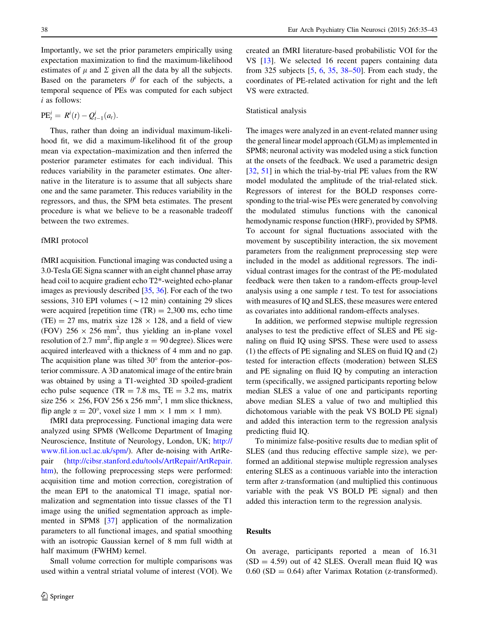Importantly, we set the prior parameters empirically using expectation maximization to find the maximum-likelihood estimates of  $\mu$  and  $\Sigma$  given all the data by all the subjects. Based on the parameters  $\theta^i$  for each of the subjects, a temporal sequence of PEs was computed for each subject i as follows:

$$
\mathrm{PE}_t^i = R^i(t) - Q_{t-1}^i(a_t).
$$

Thus, rather than doing an individual maximum-likelihood fit, we did a maximum-likelihood fit of the group mean via expectation–maximization and then inferred the posterior parameter estimates for each individual. This reduces variability in the parameter estimates. One alternative in the literature is to assume that all subjects share one and the same parameter. This reduces variability in the regressors, and thus, the SPM beta estimates. The present procedure is what we believe to be a reasonable tradeoff between the two extremes.

# fMRI protocol

fMRI acquisition. Functional imaging was conducted using a 3.0-Tesla GE Signa scanner with an eight channel phase array head coil to acquire gradient echo T2\*-weighted echo-planar images as previously described [\[35](#page-7-0), [36\]](#page-7-0). For each of the two sessions, 310 EPI volumes ( $\sim$ 12 min) containing 29 slices were acquired [repetition time  $(TR) = 2,300$  ms, echo time (TE) = 27 ms, matrix size  $128 \times 128$ , and a field of view (FOV)  $256 \times 256$  mm<sup>2</sup>, thus yielding an in-plane voxel resolution of 2.7 mm<sup>2</sup>, flip angle  $\alpha = 90$  degree). Slices were acquired interleaved with a thickness of 4 mm and no gap. The acquisition plane was tilted  $30^{\circ}$  from the anterior–posterior commissure. A 3D anatomical image of the entire brain was obtained by using a T1-weighted 3D spoiled-gradient echo pulse sequence (TR = 7.8 ms, TE = 3.2 ms, matrix size  $256 \times 256$ , FOV 256 x 256 mm<sup>2</sup>, 1 mm slice thickness, flip angle  $\alpha = 20^{\circ}$ , voxel size 1 mm  $\times$  1 mm  $\times$  1 mm).

fMRI data preprocessing. Functional imaging data were analyzed using SPM8 (Wellcome Department of Imaging Neuroscience, Institute of Neurology, London, UK; [http://](http://www.fil.ion.ucl.ac.uk/spm/) [www.fil.ion.ucl.ac.uk/spm/\)](http://www.fil.ion.ucl.ac.uk/spm/). After de-noising with ArtRepair [\(http://cibsr.stanford.edu/tools/ArtRepair/ArtRepair.](http://cibsr.stanford.edu/tools/ArtRepair/ArtRepair.htm) [htm\)](http://cibsr.stanford.edu/tools/ArtRepair/ArtRepair.htm), the following preprocessing steps were performed: acquisition time and motion correction, coregistration of the mean EPI to the anatomical T1 image, spatial normalization and segmentation into tissue classes of the T1 image using the unified segmentation approach as implemented in SPM8 [[37\]](#page-7-0) application of the normalization parameters to all functional images, and spatial smoothing with an isotropic Gaussian kernel of 8 mm full width at half maximum (FWHM) kernel.

Small volume correction for multiple comparisons was used within a ventral striatal volume of interest (VOI). We created an fMRI literature-based probabilistic VOI for the VS [\[13](#page-7-0)]. We selected 16 recent papers containing data from 325 subjects [\[5](#page-6-0), [6](#page-6-0), [35,](#page-7-0) [38–](#page-7-0)[50\]](#page-8-0). From each study, the coordinates of PE-related activation for right and the left VS were extracted.

## Statistical analysis

The images were analyzed in an event-related manner using the general linear model approach (GLM) as implemented in SPM8; neuronal activity was modeled using a stick function at the onsets of the feedback. We used a parametric design [\[32](#page-7-0), [51\]](#page-8-0) in which the trial-by-trial PE values from the RW model modulated the amplitude of the trial-related stick. Regressors of interest for the BOLD responses corresponding to the trial-wise PEs were generated by convolving the modulated stimulus functions with the canonical hemodynamic response function (HRF), provided by SPM8. To account for signal fluctuations associated with the movement by susceptibility interaction, the six movement parameters from the realignment preprocessing step were included in the model as additional regressors. The individual contrast images for the contrast of the PE-modulated feedback were then taken to a random-effects group-level analysis using a one sample  $t$  test. To test for associations with measures of IQ and SLES, these measures were entered as covariates into additional random-effects analyses.

In addition, we performed stepwise multiple regression analyses to test the predictive effect of SLES and PE signaling on fluid IQ using SPSS. These were used to assess (1) the effects of PE signaling and SLES on fluid IQ and (2) tested for interaction effects (moderation) between SLES and PE signaling on fluid IQ by computing an interaction term (specifically, we assigned participants reporting below median SLES a value of one and participants reporting above median SLES a value of two and multiplied this dichotomous variable with the peak VS BOLD PE signal) and added this interaction term to the regression analysis predicting fluid IQ.

To minimize false-positive results due to median split of SLES (and thus reducing effective sample size), we performed an additional stepwise multiple regression analyses entering SLES as a continuous variable into the interaction term after z-transformation (and multiplied this continuous variable with the peak VS BOLD PE signal) and then added this interaction term to the regression analysis.

#### Results

On average, participants reported a mean of 16.31  $(SD = 4.59)$  out of 42 SLES. Overall mean fluid IQ was  $0.60$  (SD = 0.64) after Varimax Rotation (z-transformed).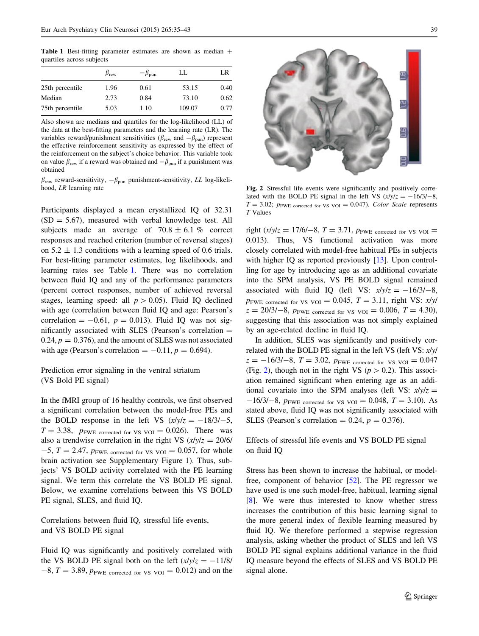Table 1 Best-fitting parameter estimates are shown as median + quartiles across subjects

|                 | $\beta_{\rm{rew}}$ | $-\beta_{\text{pun}}$ | LL     | LR   |  |
|-----------------|--------------------|-----------------------|--------|------|--|
| 25th percentile | 1.96               | 0.61                  | 53.15  | 0.40 |  |
| Median          | 2.73               | 0.84                  | 73.10  | 0.62 |  |
| 75th percentile | 5.03               | 1.10                  | 109.07 | 0.77 |  |

Also shown are medians and quartiles for the log-likelihood (LL) of the data at the best-fitting parameters and the learning rate (LR). The variables reward/punishment sensitivities ( $\beta_{\text{rew}}$  and  $-\beta_{\text{pun}}$ ) represent the effective reinforcement sensitivity as expressed by the effect of the reinforcement on the subject's choice behavior. This variable took on value  $\beta_{\rm rev}$  if a reward was obtained and  $-\beta_{\rm pun}$  if a punishment was obtained

 $\beta_{\text{rew}}$  reward-sensitivity,  $-\beta_{\text{pun}}$  punishment-sensitivity, *LL* log-likeli-hood, *LR* learning rate

Participants displayed a mean crystallized IQ of 32.31  $(SD = 5.67)$ , measured with verbal knowledge test. All subjects made an average of  $70.8 \pm 6.1$  % correct responses and reached criterion (number of reversal stages) on  $5.2 \pm 1.3$  conditions with a learning speed of 0.6 trials. For best-fitting parameter estimates, log likelihoods, and learning rates see Table 1. There was no correlation between fluid IQ and any of the performance parameters (percent correct responses, number of achieved reversal stages, learning speed: all  $p > 0.05$ ). Fluid IQ declined with age (correlation between fluid IQ and age: Pearson's correlation =  $-0.61$ ,  $p = 0.013$ ). Fluid IQ was not significantly associated with SLES (Pearson's correlation  $=$  $0.24, p = 0.376$ , and the amount of SLES was not associated with age (Pearson's correlation  $= -0.11, p = 0.694$ ).

Prediction error signaling in the ventral striatum (VS Bold PE signal)

In the fMRI group of 16 healthy controls, we first observed a significant correlation between the model-free PEs and the BOLD response in the left VS  $(x/y/z = -18/3/-5$ ,  $T = 3.38$ ,  $p_{\text{FWE corrected for VS VOI}} = 0.026$ . There was also a trendwise correlation in the right VS  $(x/y/z = 20/6)$  $-5$ ,  $T = 2.47$ ,  $p_{\text{FWE}}$  corrected for VS VOI = 0.057, for whole brain activation see Supplementary Figure 1). Thus, subjects' VS BOLD activity correlated with the PE learning signal. We term this correlate the VS BOLD PE signal. Below, we examine correlations between this VS BOLD PE signal, SLES, and fluid IQ.

Correlations between fluid IQ, stressful life events, and VS BOLD PE signal

Fluid IQ was significantly and positively correlated with the VS BOLD PE signal both on the left  $(x/y/z = -11/8/$  $-8$ ,  $T = 3.89$ ,  $p_{\text{FWE corrected for VS VOI}} = 0.012$  and on the



Fig. 2 Stressful life events were significantly and positively correlated with the BOLD PE signal in the left VS  $(x/y/z = -16/3/-8$ ,  $T = 3.02$ ;  $p_{\text{FWE corrected for VS VOI}} = 0.047$ ). Color Scale represents T Values

right  $(x/y/z = 17/6/-8$ ,  $T = 3.71$ ,  $p_{\text{FWE}}$  corrected for VS VOI = 0.013). Thus, VS functional activation was more closely correlated with model-free habitual PEs in subjects with higher IQ as reported previously [[13\]](#page-7-0). Upon controlling for age by introducing age as an additional covariate into the SPM analysis, VS PE BOLD signal remained associated with fluid IQ (left VS:  $x/y/z = -16/3/-8$ , PFWE corrected for VS VOI = 0.045,  $T = 3.11$ , right VS:  $x/y/$  $z = 20/3/-8$ ,  $p_{\text{FWE}}$  corrected for VS VOI = 0.006,  $T = 4.30$ ), suggesting that this association was not simply explained by an age-related decline in fluid IQ.

In addition, SLES was significantly and positively correlated with the BOLD PE signal in the left VS (left VS: x/y/  $z = -16/3/8$ ,  $T = 3.02$ ,  $p_{\text{FWE corrected for VS VOI}} = 0.047$ (Fig. 2), though not in the right VS ( $p > 0.2$ ). This association remained significant when entering age as an additional covariate into the SPM analyses (left VS:  $x/y/z =$  $-16/3/-8$ ,  $p_{\text{FWE}}$  corrected for VS VOI = 0.048,  $T = 3.10$ ). As stated above, fluid IQ was not significantly associated with SLES (Pearson's correlation = 0.24,  $p = 0.376$ ).

Effects of stressful life events and VS BOLD PE signal on fluid IQ

Stress has been shown to increase the habitual, or modelfree, component of behavior [\[52](#page-8-0)]. The PE regressor we have used is one such model-free, habitual, learning signal [\[8](#page-6-0)]. We were thus interested to know whether stress increases the contribution of this basic learning signal to the more general index of flexible learning measured by fluid IQ. We therefore performed a stepwise regression analysis, asking whether the product of SLES and left VS BOLD PE signal explains additional variance in the fluid IQ measure beyond the effects of SLES and VS BOLD PE signal alone.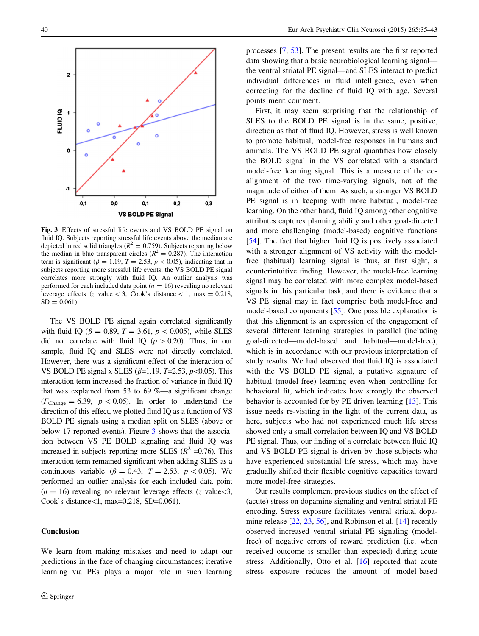

Fig. 3 Effects of stressful life events and VS BOLD PE signal on fluid IQ. Subjects reporting stressful life events above the median are depicted in red solid triangles ( $R^2 = 0.759$ ). Subjects reporting below the median in blue transparent circles ( $R^2 = 0.287$ ). The interaction term is significant ( $\beta = 1.19$ ,  $T = 2.53$ ,  $p < 0.05$ ), indicating that in subjects reporting more stressful life events, the VS BOLD PE signal correlates more strongly with fluid IQ. An outlier analysis was performed for each included data point ( $n = 16$ ) revealing no relevant leverage effects (z value  $\lt$  3, Cook's distance  $\lt$  1, max = 0.218,  $SD = 0.061$ 

The VS BOLD PE signal again correlated significantly with fluid IQ ( $\beta = 0.89$ ,  $T = 3.61$ ,  $p < 0.005$ ), while SLES did not correlate with fluid IQ ( $p > 0.20$ ). Thus, in our sample, fluid IQ and SLES were not directly correlated. However, there was a significant effect of the interaction of VS BOLD PE signal x SLES ( $\beta$ =1.19, T=2.53, p<0.05). This interaction term increased the fraction of variance in fluid IQ that was explained from 53 to 69 %—a significant change  $(F_{Change} = 6.39, p < 0.05)$ . In order to understand the direction of this effect, we plotted fluid IQ as a function of VS BOLD PE signals using a median split on SLES (above or below 17 reported events). Figure 3 shows that the association between VS PE BOLD signaling and fluid IQ was increased in subjects reporting more SLES ( $R^2$  =0.76). This interaction term remained significant when adding SLES as a continuous variable ( $\beta = 0.43$ ,  $T = 2.53$ ,  $p < 0.05$ ). We performed an outlier analysis for each included data point  $(n = 16)$  revealing no relevant leverage effects (z value $\lt 3$ , Cook's distance\1, max=0.218, SD=0.061).

# **Conclusion**

We learn from making mistakes and need to adapt our predictions in the face of changing circumstances; iterative learning via PEs plays a major role in such learning processes [[7,](#page-6-0) [53\]](#page-8-0). The present results are the first reported data showing that a basic neurobiological learning signal the ventral striatal PE signal—and SLES interact to predict individual differences in fluid intelligence, even when correcting for the decline of fluid IQ with age. Several points merit comment.

First, it may seem surprising that the relationship of SLES to the BOLD PE signal is in the same, positive, direction as that of fluid IQ. However, stress is well known to promote habitual, model-free responses in humans and animals. The VS BOLD PE signal quantifies how closely the BOLD signal in the VS correlated with a standard model-free learning signal. This is a measure of the coalignment of the two time-varying signals, not of the magnitude of either of them. As such, a stronger VS BOLD PE signal is in keeping with more habitual, model-free learning. On the other hand, fluid IQ among other cognitive attributes captures planning ability and other goal-directed and more challenging (model-based) cognitive functions [\[54](#page-8-0)]. The fact that higher fluid IQ is positively associated with a stronger alignment of VS activity with the modelfree (habitual) learning signal is thus, at first sight, a counterintuitive finding. However, the model-free learning signal may be correlated with more complex model-based signals in this particular task, and there is evidence that a VS PE signal may in fact comprise both model-free and model-based components [[55\]](#page-8-0). One possible explanation is that this alignment is an expression of the engagement of several different learning strategies in parallel (including goal-directed—model-based and habitual—model-free), which is in accordance with our previous interpretation of study results. We had observed that fluid IQ is associated with the VS BOLD PE signal, a putative signature of habitual (model-free) learning even when controlling for behavioral fit, which indicates how strongly the observed behavior is accounted for by PE-driven learning [[13\]](#page-7-0). This issue needs re-visiting in the light of the current data, as here, subjects who had not experienced much life stress showed only a small correlation between IQ and VS BOLD PE signal. Thus, our finding of a correlate between fluid IQ and VS BOLD PE signal is driven by those subjects who have experienced substantial life stress, which may have gradually shifted their flexible cognitive capacities toward more model-free strategies.

Our results complement previous studies on the effect of (acute) stress on dopamine signaling and ventral striatal PE encoding. Stress exposure facilitates ventral striatal dopamine release [[22,](#page-7-0) [23](#page-7-0), [56](#page-8-0)], and Robinson et al. [[14\]](#page-7-0) recently observed increased ventral striatal PE signaling (modelfree) of negative errors of reward prediction (i.e. when received outcome is smaller than expected) during acute stress. Additionally, Otto et al. [[16\]](#page-7-0) reported that acute stress exposure reduces the amount of model-based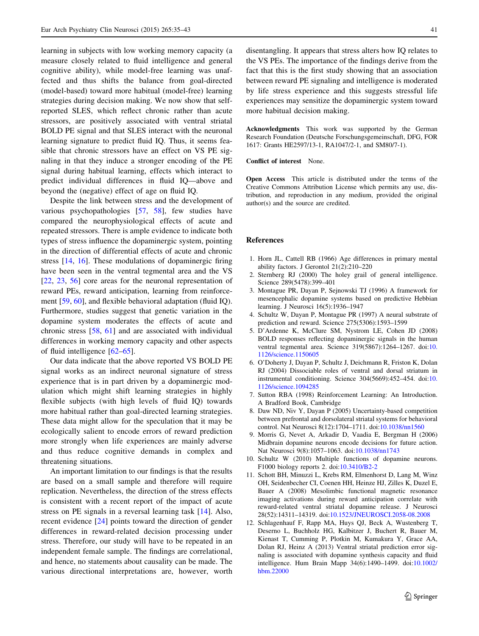<span id="page-6-0"></span>learning in subjects with low working memory capacity (a measure closely related to fluid intelligence and general cognitive ability), while model-free learning was unaffected and thus shifts the balance from goal-directed (model-based) toward more habitual (model-free) learning strategies during decision making. We now show that selfreported SLES, which reflect chronic rather than acute stressors, are positively associated with ventral striatal BOLD PE signal and that SLES interact with the neuronal learning signature to predict fluid IQ. Thus, it seems feasible that chronic stressors have an effect on VS PE signaling in that they induce a stronger encoding of the PE signal during habitual learning, effects which interact to predict individual differences in fluid IQ—above and beyond the (negative) effect of age on fluid IQ.

Despite the link between stress and the development of various psychopathologies [[57,](#page-8-0) [58](#page-8-0)], few studies have compared the neurophysiological effects of acute and repeated stressors. There is ample evidence to indicate both types of stress influence the dopaminergic system, pointing in the direction of differential effects of acute and chronic stress [\[14](#page-7-0), [16](#page-7-0)]. These modulations of dopaminergic firing have been seen in the ventral tegmental area and the VS [\[22](#page-7-0), [23,](#page-7-0) [56\]](#page-8-0) core areas for the neuronal representation of reward PEs, reward anticipation, learning from reinforcement [[59,](#page-8-0) [60\]](#page-8-0), and flexible behavioral adaptation (fluid IQ). Furthermore, studies suggest that genetic variation in the dopamine system moderates the effects of acute and chronic stress [\[58](#page-8-0), [61](#page-8-0)] and are associated with individual differences in working memory capacity and other aspects of fluid intelligence [[62–65\]](#page-8-0).

Our data indicate that the above reported VS BOLD PE signal works as an indirect neuronal signature of stress experience that is in part driven by a dopaminergic modulation which might shift learning strategies in highly flexible subjects (with high levels of fluid IQ) towards more habitual rather than goal-directed learning strategies. These data might allow for the speculation that it may be ecologically salient to encode errors of reward prediction more strongly when life experiences are mainly adverse and thus reduce cognitive demands in complex and threatening situations.

An important limitation to our findings is that the results are based on a small sample and therefore will require replication. Nevertheless, the direction of the stress effects is consistent with a recent report of the impact of acute stress on PE signals in a reversal learning task [[14\]](#page-7-0). Also, recent evidence [[24\]](#page-7-0) points toward the direction of gender differences in reward-related decision processing under stress. Therefore, our study will have to be repeated in an independent female sample. The findings are correlational, and hence, no statements about causality can be made. The various directional interpretations are, however, worth disentangling. It appears that stress alters how IQ relates to the VS PEs. The importance of the findings derive from the fact that this is the first study showing that an association between reward PE signaling and intelligence is moderated by life stress experience and this suggests stressful life experiences may sensitize the dopaminergic system toward more habitual decision making.

Acknowledgments This work was supported by the German Research Foundation (Deutsche Forschungsgemeinschaft, DFG, FOR 1617: Grants HE2597/13-1, RA1047/2-1, and SM80/7-1).

#### Conflict of interest None.

Open Access This article is distributed under the terms of the Creative Commons Attribution License which permits any use, distribution, and reproduction in any medium, provided the original author(s) and the source are credited.

#### References

- 1. Horn JL, Cattell RB (1966) Age differences in primary mental ability factors. J Gerontol 21(2):210–220
- 2. Sternberg RJ (2000) The holey grail of general intelligence. Science 289(5478):399–401
- 3. Montague PR, Dayan P, Sejnowski TJ (1996) A framework for mesencephalic dopamine systems based on predictive Hebbian learning. J Neurosci 16(5):1936–1947
- 4. Schultz W, Dayan P, Montague PR (1997) A neural substrate of prediction and reward. Science 275(5306):1593–1599
- 5. D'Ardenne K, McClure SM, Nystrom LE, Cohen JD (2008) BOLD responses reflecting dopaminergic signals in the human ventral tegmental area. Science 319(5867):1264–1267. doi:[10.](http://dx.doi.org/10.1126/science.1150605) [1126/science.1150605](http://dx.doi.org/10.1126/science.1150605)
- 6. O'Doherty J, Dayan P, Schultz J, Deichmann R, Friston K, Dolan RJ (2004) Dissociable roles of ventral and dorsal striatum in instrumental conditioning. Science 304(5669):452–454. doi:[10.](http://dx.doi.org/10.1126/science.1094285) [1126/science.1094285](http://dx.doi.org/10.1126/science.1094285)
- 7. Sutton RBA (1998) Reinforcement Learning: An Introduction. A Bradford Book, Cambridge
- 8. Daw ND, Niv Y, Dayan P (2005) Uncertainty-based competition between prefrontal and dorsolateral striatal systems for behavioral control. Nat Neurosci 8(12):1704–1711. doi[:10.1038/nn1560](http://dx.doi.org/10.1038/nn1560)
- 9. Morris G, Nevet A, Arkadir D, Vaadia E, Bergman H (2006) Midbrain dopamine neurons encode decisions for future action. Nat Neurosci 9(8):1057–1063. doi[:10.1038/nn1743](http://dx.doi.org/10.1038/nn1743)
- 10. Schultz W (2010) Multiple functions of dopamine neurons. F1000 biology reports 2. doi:[10.3410/B2-2](http://dx.doi.org/10.3410/B2-2)
- 11. Schott BH, Minuzzi L, Krebs RM, Elmenhorst D, Lang M, Winz OH, Seidenbecher CI, Coenen HH, Heinze HJ, Zilles K, Duzel E, Bauer A (2008) Mesolimbic functional magnetic resonance imaging activations during reward anticipation correlate with reward-related ventral striatal dopamine release. J Neurosci 28(52):14311–14319. doi[:10.1523/JNEUROSCI.2058-08.2008](http://dx.doi.org/10.1523/JNEUROSCI.2058-08.2008)
- 12. Schlagenhauf F, Rapp MA, Huys QJ, Beck A, Wustenberg T, Deserno L, Buchholz HG, Kalbitzer J, Buchert R, Bauer M, Kienast T, Cumming P, Plotkin M, Kumakura Y, Grace AA, Dolan RJ, Heinz A (2013) Ventral striatal prediction error signaling is associated with dopamine synthesis capacity and fluid intelligence. Hum Brain Mapp 34(6):1490–1499. doi[:10.1002/](http://dx.doi.org/10.1002/hbm.22000) [hbm.22000](http://dx.doi.org/10.1002/hbm.22000)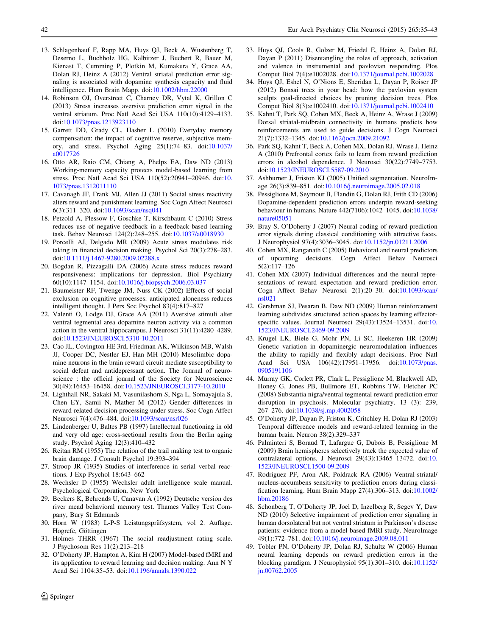- <span id="page-7-0"></span>13. Schlagenhauf F, Rapp MA, Huys QJ, Beck A, Wustenberg T, Deserno L, Buchholz HG, Kalbitzer J, Buchert R, Bauer M, Kienast T, Cumming P, Plotkin M, Kumakura Y, Grace AA, Dolan RJ, Heinz A (2012) Ventral striatal prediction error signaling is associated with dopamine synthesis capacity and fluid intelligence. Hum Brain Mapp. doi:[10.1002/hbm.22000](http://dx.doi.org/10.1002/hbm.22000)
- 14. Robinson OJ, Overstreet C, Charney DR, Vytal K, Grillon C (2013) Stress increases aversive prediction error signal in the ventral striatum. Proc Natl Acad Sci USA 110(10):4129–4133. doi:[10.1073/pnas.1213923110](http://dx.doi.org/10.1073/pnas.1213923110)
- 15. Garrett DD, Grady CL, Hasher L (2010) Everyday memory compensation: the impact of cognitive reserve, subjective memory, and stress. Psychol Aging 25(1):74–83. doi[:10.1037/](http://dx.doi.org/10.1037/a0017726) [a0017726](http://dx.doi.org/10.1037/a0017726)
- 16. Otto AR, Raio CM, Chiang A, Phelps EA, Daw ND (2013) Working-memory capacity protects model-based learning from stress. Proc Natl Acad Sci USA 110(52):20941–20946. doi:[10.](http://dx.doi.org/10.1073/pnas.1312011110) [1073/pnas.1312011110](http://dx.doi.org/10.1073/pnas.1312011110)
- 17. Cavanagh JF, Frank MJ, Allen JJ (2011) Social stress reactivity alters reward and punishment learning. Soc Cogn Affect Neurosci 6(3):311–320. doi:[10.1093/scan/nsq041](http://dx.doi.org/10.1093/scan/nsq041)
- 18. Petzold A, Plessow F, Goschke T, Kirschbaum C (2010) Stress reduces use of negative feedback in a feedback-based learning task. Behav Neurosci 124(2):248–255. doi:[10.1037/a0018930](http://dx.doi.org/10.1037/a0018930)
- 19. Porcelli AJ, Delgado MR (2009) Acute stress modulates risk taking in financial decision making. Psychol Sci 20(3):278–283. doi:[10.1111/j.1467-9280.2009.02288.x](http://dx.doi.org/10.1111/j.1467-9280.2009.02288.x)
- 20. Bogdan R, Pizzagalli DA (2006) Acute stress reduces reward responsiveness: implications for depression. Biol Psychiatry 60(10):1147–1154. doi:[10.1016/j.biopsych.2006.03.037](http://dx.doi.org/10.1016/j.biopsych.2006.03.037)
- 21. Baumeister RF, Twenge JM, Nuss CK (2002) Effects of social exclusion on cognitive processes: anticipated aloneness reduces intelligent thought. J Pers Soc Psychol 83(4):817–827
- 22. Valenti O, Lodge DJ, Grace AA (2011) Aversive stimuli alter ventral tegmental area dopamine neuron activity via a common action in the ventral hippocampus. J Neurosci 31(11):4280–4289. doi:[10.1523/JNEUROSCI.5310-10.2011](http://dx.doi.org/10.1523/JNEUROSCI.5310-10.2011)
- 23. Cao JL, Covington HE 3rd, Friedman AK, Wilkinson MB, Walsh JJ, Cooper DC, Nestler EJ, Han MH (2010) Mesolimbic dopamine neurons in the brain reward circuit mediate susceptibility to social defeat and antidepressant action. The Journal of neuroscience : the official journal of the Society for Neuroscience 30(49):16453–16458. doi[:10.1523/JNEUROSCI.3177-10.2010](http://dx.doi.org/10.1523/JNEUROSCI.3177-10.2010)
- 24. Lighthall NR, Sakaki M, Vasunilashorn S, Nga L, Somayajula S, Chen EY, Samii N, Mather M (2012) Gender differences in reward-related decision processing under stress. Soc Cogn Affect Neurosci 7(4):476–484. doi[:10.1093/scan/nsr026](http://dx.doi.org/10.1093/scan/nsr026)
- 25. Lindenberger U, Baltes PB (1997) Intellectual functioning in old and very old age: cross-sectional results from the Berlin aging study. Psychol Aging 12(3):410–432
- 26. Reitan RM (1955) The relation of the trail making test to organic brain damage. J Consult Psychol 19:393–394
- 27. Stroop JR (1935) Studies of interference in serial verbal reactions. J Exp Psychol 18:643–662
- 28. Wechsler D (1955) Wechsler adult intelligence scale manual. Psychological Corporation, New York
- 29. Beckers K, Behrends U, Canavan A (1992) Deutsche version des river mead behavioral memory test. Thames Valley Test Company, Bury St Edmunds
- 30. Horn W (1983) L-P-S Leistungsprüfsystem, vol 2. Auflage. Hogrefe, Göttingen
- 31. Holmes THRR (1967) The social readjustment rating scale. J Psychosom Res 11(2):213–218
- 32. O'Doherty JP, Hampton A, Kim H (2007) Model-based fMRI and its application to reward learning and decision making. Ann N Y Acad Sci 1104:35–53. doi:[10.1196/annals.1390.022](http://dx.doi.org/10.1196/annals.1390.022)
- 33. Huys QJ, Cools R, Golzer M, Friedel E, Heinz A, Dolan RJ, Dayan P (2011) Disentangling the roles of approach, activation and valence in instrumental and pavlovian responding. Plos Comput Biol 7(4):e1002028. doi[:10.1371/journal.pcbi.1002028](http://dx.doi.org/10.1371/journal.pcbi.1002028)
- 34. Huys QJ, Eshel N, O'Nions E, Sheridan L, Dayan P, Roiser JP (2012) Bonsai trees in your head: how the pavlovian system sculpts goal-directed choices by pruning decision trees. Plos Comput Biol 8(3):e1002410. doi[:10.1371/journal.pcbi.1002410](http://dx.doi.org/10.1371/journal.pcbi.1002410)
- 35. Kahnt T, Park SQ, Cohen MX, Beck A, Heinz A, Wrase J (2009) Dorsal striatal-midbrain connectivity in humans predicts how reinforcements are used to guide decisions. J Cogn Neurosci 21(7):1332–1345. doi:[10.1162/jocn.2009.21092](http://dx.doi.org/10.1162/jocn.2009.21092)
- 36. Park SQ, Kahnt T, Beck A, Cohen MX, Dolan RJ, Wrase J, Heinz A (2010) Prefrontal cortex fails to learn from reward prediction errors in alcohol dependence. J Neurosci 30(22):7749–7753. doi:[10.1523/JNEUROSCI.5587-09.2010](http://dx.doi.org/10.1523/JNEUROSCI.5587-09.2010)
- 37. Ashburner J, Friston KJ (2005) Unified segmentation. NeuroImage 26(3):839–851. doi:[10.1016/j.neuroimage.2005.02.018](http://dx.doi.org/10.1016/j.neuroimage.2005.02.018)
- 38. Pessiglione M, Seymour B, Flandin G, Dolan RJ, Frith CD (2006) Dopamine-dependent prediction errors underpin reward-seeking behaviour in humans. Nature 442(7106):1042–1045. doi[:10.1038/](http://dx.doi.org/10.1038/nature05051) [nature05051](http://dx.doi.org/10.1038/nature05051)
- 39. Bray S, O'Doherty J (2007) Neural coding of reward-prediction error signals during classical conditioning with attractive faces. J Neurophysiol 97(4):3036–3045. doi:[10.1152/jn.01211.2006](http://dx.doi.org/10.1152/jn.01211.2006)
- 40. Cohen MX, Ranganath C (2005) Behavioral and neural predictors of upcoming decisions. Cogn Affect Behav Neurosci 5(2):117–126
- 41. Cohen MX (2007) Individual differences and the neural representations of reward expectation and reward prediction error. Cogn Affect Behav Neurosci 2(1):20–30. doi:[10.1093/scan/](http://dx.doi.org/10.1093/scan/nsl021) [nsl021](http://dx.doi.org/10.1093/scan/nsl021)
- 42. Gershman SJ, Pesaran B, Daw ND (2009) Human reinforcement learning subdivides structured action spaces by learning effectorspecific values. Journal Neurosci 29(43):13524–13531. doi:[10.](http://dx.doi.org/10.1523/JNEUROSCI.2469-09.2009) [1523/JNEUROSCI.2469-09.2009](http://dx.doi.org/10.1523/JNEUROSCI.2469-09.2009)
- 43. Krugel LK, Biele G, Mohr PN, Li SC, Heekeren HR (2009) Genetic variation in dopaminergic neuromodulation influences the ability to rapidly and flexibly adapt decisions. Proc Natl Acad Sci USA 106(42):17951–17956. doi:[10.1073/pnas.](http://dx.doi.org/10.1073/pnas.0905191106) [0905191106](http://dx.doi.org/10.1073/pnas.0905191106)
- 44. Murray GK, Corlett PR, Clark L, Pessiglione M, Blackwell AD, Honey G, Jones PB, Bullmore ET, Robbins TW, Fletcher PC (2008) Substantia nigra/ventral tegmental reward prediction error disruption in psychosis. Molecular psychiatry. 13 (3): 239, 267–276. doi:[10.1038/sj.mp.4002058](http://dx.doi.org/10.1038/sj.mp.4002058)
- 45. O'Doherty JP, Dayan P, Friston K, Critchley H, Dolan RJ (2003) Temporal difference models and reward-related learning in the human brain. Neuron 38(2):329–337
- 46. Palminteri S, Boraud T, Lafargue G, Dubois B, Pessiglione M (2009) Brain hemispheres selectively track the expected value of contralateral options. J Neurosci 29(43):13465–13472. doi:[10.](http://dx.doi.org/10.1523/JNEUROSCI.1500-09.2009) [1523/JNEUROSCI.1500-09.2009](http://dx.doi.org/10.1523/JNEUROSCI.1500-09.2009)
- 47. Rodriguez PF, Aron AR, Poldrack RA (2006) Ventral-striatal/ nucleus-accumbens sensitivity to prediction errors during classification learning. Hum Brain Mapp 27(4):306–313. doi[:10.1002/](http://dx.doi.org/10.1002/hbm.20186) [hbm.20186](http://dx.doi.org/10.1002/hbm.20186)
- 48. Schonberg T, O'Doherty JP, Joel D, Inzelberg R, Segev Y, Daw ND (2010) Selective impairment of prediction error signaling in human dorsolateral but not ventral striatum in Parkinson's disease patients: evidence from a model-based fMRI study. NeuroImage 49(1):772–781. doi[:10.1016/j.neuroimage.2009.08.011](http://dx.doi.org/10.1016/j.neuroimage.2009.08.011)
- 49. Tobler PN, O'Doherty JP, Dolan RJ, Schultz W (2006) Human neural learning depends on reward prediction errors in the blocking paradigm. J Neurophysiol 95(1):301–310. doi[:10.1152/](http://dx.doi.org/10.1152/jn.00762.2005) [jn.00762.2005](http://dx.doi.org/10.1152/jn.00762.2005)